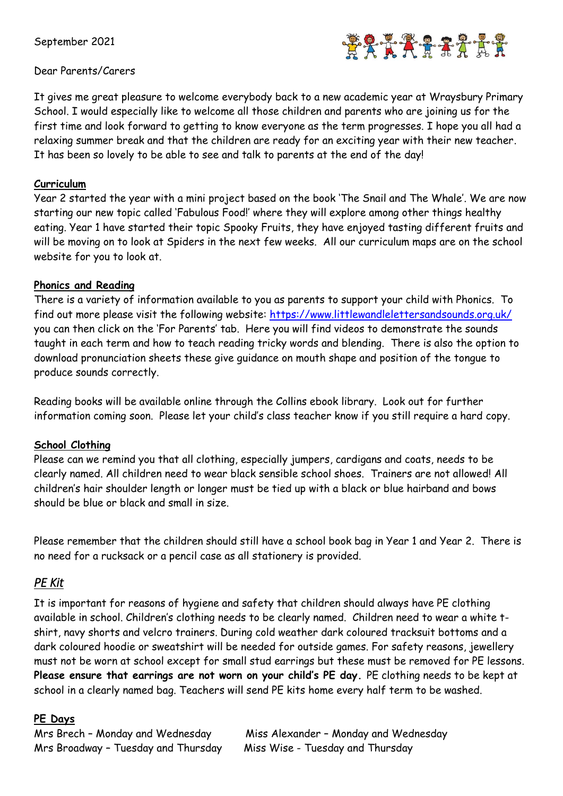September 2021



#### Dear Parents/Carers

It gives me great pleasure to welcome everybody back to a new academic year at Wraysbury Primary School. I would especially like to welcome all those children and parents who are joining us for the first time and look forward to getting to know everyone as the term progresses. I hope you all had a relaxing summer break and that the children are ready for an exciting year with their new teacher. It has been so lovely to be able to see and talk to parents at the end of the day!

#### **Curriculum**

Year 2 started the year with a mini project based on the book 'The Snail and The Whale'. We are now starting our new topic called 'Fabulous Food!' where they will explore among other things healthy eating. Year 1 have started their topic Spooky Fruits, they have enjoyed tasting different fruits and will be moving on to look at Spiders in the next few weeks. All our curriculum maps are on the school website for you to look at.

#### **Phonics and Reading**

There is a variety of information available to you as parents to support your child with Phonics. To find out more please visit the following website: <https://www.littlewandlelettersandsounds.org.uk/> you can then click on the 'For Parents' tab. Here you will find videos to demonstrate the sounds taught in each term and how to teach reading tricky words and blending. There is also the option to download pronunciation sheets these give guidance on mouth shape and position of the tongue to produce sounds correctly.

Reading books will be available online through the Collins ebook library. Look out for further information coming soon. Please let your child's class teacher know if you still require a hard copy.

### **School Clothing**

Please can we remind you that all clothing, especially jumpers, cardigans and coats, needs to be clearly named. All children need to wear black sensible school shoes. Trainers are not allowed! All children's hair shoulder length or longer must be tied up with a black or blue hairband and bows should be blue or black and small in size.

Please remember that the children should still have a school book bag in Year 1 and Year 2. There is no need for a rucksack or a pencil case as all stationery is provided.

## *PE Kit*

It is important for reasons of hygiene and safety that children should always have PE clothing available in school. Children's clothing needs to be clearly named. Children need to wear a white tshirt, navy shorts and velcro trainers. During cold weather dark coloured tracksuit bottoms and a dark coloured hoodie or sweatshirt will be needed for outside games. For safety reasons, jewellery must not be worn at school except for small stud earrings but these must be removed for PE lessons. **Please ensure that earrings are not worn on your child's PE day.** PE clothing needs to be kept at school in a clearly named bag. Teachers will send PE kits home every half term to be washed.

### **PE Days**

Mrs Broadway – Tuesday and Thursday Miss Wise - Tuesday and Thursday

Mrs Brech - Monday and Wednesday Miss Alexander - Monday and Wednesday